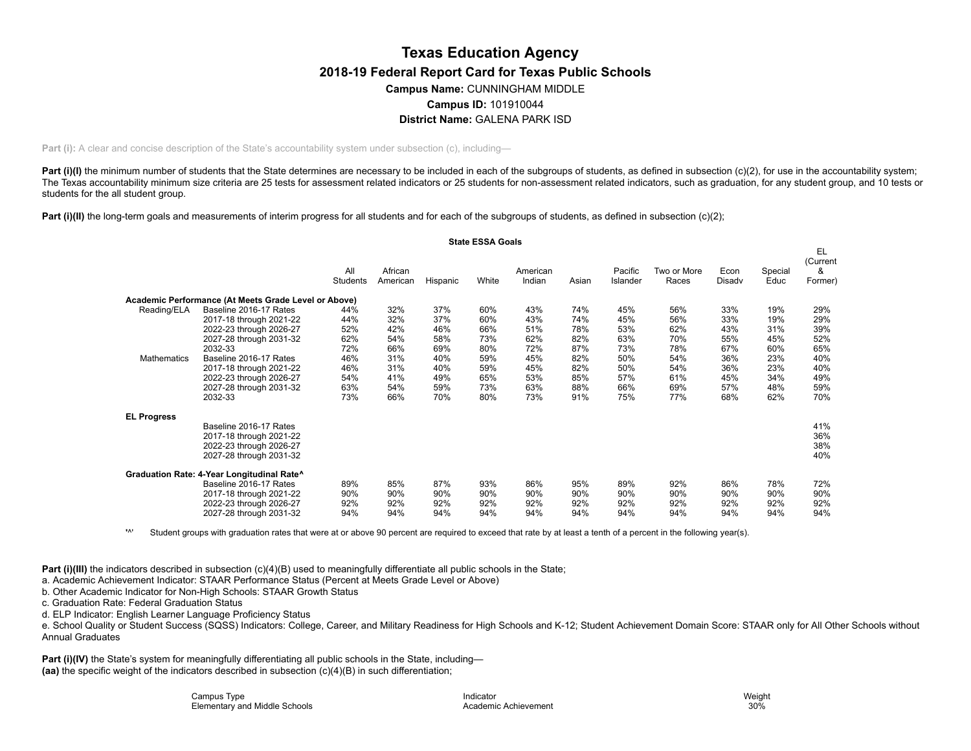# **Texas Education Agency District Name:** GALENA PARK ISD **2018-19 Federal Report Card for Texas Public Schools Campus Name:** CUNNINGHAM MIDDLE **Campus ID:** 101910044

**Part (i):** A clear and concise description of the State's accountability system under subsection (c), including—

Part (i)(I) the minimum number of students that the State determines are necessary to be included in each of the subgroups of students, as defined in subsection (c)(2), for use in the accountability system; The Texas accountability minimum size criteria are 25 tests for assessment related indicators or 25 students for non-assessment related indicators, such as graduation, for any student group, and 10 tests or students for the all student group.

**Part (i)(II)** the long-term goals and measurements of interim progress for all students and for each of the subgroups of students, as defined in subsection (c)(2);

|                    |                                                      |                 |                     |          | <b>State ESSA Goals</b> |                    |       |                     |                      |                |                 |                                |
|--------------------|------------------------------------------------------|-----------------|---------------------|----------|-------------------------|--------------------|-------|---------------------|----------------------|----------------|-----------------|--------------------------------|
|                    |                                                      | All<br>Students | African<br>American | Hispanic | White                   | American<br>Indian | Asian | Pacific<br>Islander | Two or More<br>Races | Econ<br>Disadv | Special<br>Educ | EL<br>(Current<br>&<br>Former) |
|                    | Academic Performance (At Meets Grade Level or Above) |                 |                     |          |                         |                    |       |                     |                      |                |                 |                                |
| Reading/ELA        | Baseline 2016-17 Rates                               | 44%             | 32%                 | 37%      | 60%                     | 43%                | 74%   | 45%                 | 56%                  | 33%            | 19%             | 29%                            |
|                    | 2017-18 through 2021-22                              | 44%             | 32%                 | 37%      | 60%                     | 43%                | 74%   | 45%                 | 56%                  | 33%            | 19%             | 29%                            |
|                    | 2022-23 through 2026-27                              | 52%             | 42%                 | 46%      | 66%                     | 51%                | 78%   | 53%                 | 62%                  | 43%            | 31%             | 39%                            |
|                    | 2027-28 through 2031-32                              | 62%             | 54%                 | 58%      | 73%                     | 62%                | 82%   | 63%                 | 70%                  | 55%            | 45%             | 52%                            |
|                    | 2032-33                                              | 72%             | 66%                 | 69%      | 80%                     | 72%                | 87%   | 73%                 | 78%                  | 67%            | 60%             | 65%                            |
| Mathematics        | Baseline 2016-17 Rates                               | 46%             | 31%                 | 40%      | 59%                     | 45%                | 82%   | 50%                 | 54%                  | 36%            | 23%             | 40%                            |
|                    | 2017-18 through 2021-22                              | 46%             | 31%                 | 40%      | 59%                     | 45%                | 82%   | 50%                 | 54%                  | 36%            | 23%             | 40%                            |
|                    | 2022-23 through 2026-27                              | 54%             | 41%                 | 49%      | 65%                     | 53%                | 85%   | 57%                 | 61%                  | 45%            | 34%             | 49%                            |
|                    | 2027-28 through 2031-32                              | 63%             | 54%                 | 59%      | 73%                     | 63%                | 88%   | 66%                 | 69%                  | 57%            | 48%             | 59%                            |
|                    | 2032-33                                              | 73%             | 66%                 | 70%      | 80%                     | 73%                | 91%   | 75%                 | 77%                  | 68%            | 62%             | 70%                            |
| <b>EL Progress</b> |                                                      |                 |                     |          |                         |                    |       |                     |                      |                |                 |                                |
|                    | Baseline 2016-17 Rates                               |                 |                     |          |                         |                    |       |                     |                      |                |                 | 41%                            |
|                    | 2017-18 through 2021-22                              |                 |                     |          |                         |                    |       |                     |                      |                |                 | 36%                            |
|                    | 2022-23 through 2026-27                              |                 |                     |          |                         |                    |       |                     |                      |                |                 | 38%                            |
|                    | 2027-28 through 2031-32                              |                 |                     |          |                         |                    |       |                     |                      |                |                 | 40%                            |
|                    | Graduation Rate: 4-Year Longitudinal Rate^           |                 |                     |          |                         |                    |       |                     |                      |                |                 |                                |
|                    | Baseline 2016-17 Rates                               | 89%             | 85%                 | 87%      | 93%                     | 86%                | 95%   | 89%                 | 92%                  | 86%            | 78%             | 72%                            |
|                    | 2017-18 through 2021-22                              | 90%             | 90%                 | 90%      | 90%                     | 90%                | 90%   | 90%                 | 90%                  | 90%            | 90%             | 90%                            |
|                    | 2022-23 through 2026-27                              | 92%             | 92%                 | 92%      | 92%                     | 92%                | 92%   | 92%                 | 92%                  | 92%            | 92%             | 92%                            |
|                    | 2027-28 through 2031-32                              | 94%             | 94%                 | 94%      | 94%                     | 94%                | 94%   | 94%                 | 94%                  | 94%            | 94%             | 94%                            |

 $\mathbf{M}$ Student groups with graduation rates that were at or above 90 percent are required to exceed that rate by at least a tenth of a percent in the following year(s).

**Part (i)(III)** the indicators described in subsection (c)(4)(B) used to meaningfully differentiate all public schools in the State;

a. Academic Achievement Indicator: STAAR Performance Status (Percent at Meets Grade Level or Above)

b. Other Academic Indicator for Non-High Schools: STAAR Growth Status

c. Graduation Rate: Federal Graduation Status

d. ELP Indicator: English Learner Language Proficiency Status

e. School Quality or Student Success (SQSS) Indicators: College, Career, and Military Readiness for High Schools and K-12; Student Achievement Domain Score: STAAR only for All Other Schools without Annual Graduates

**Part (i)(IV)** the State's system for meaningfully differentiating all public schools in the State, including— **(aa)** the specific weight of the indicators described in subsection (c)(4)(B) in such differentiation;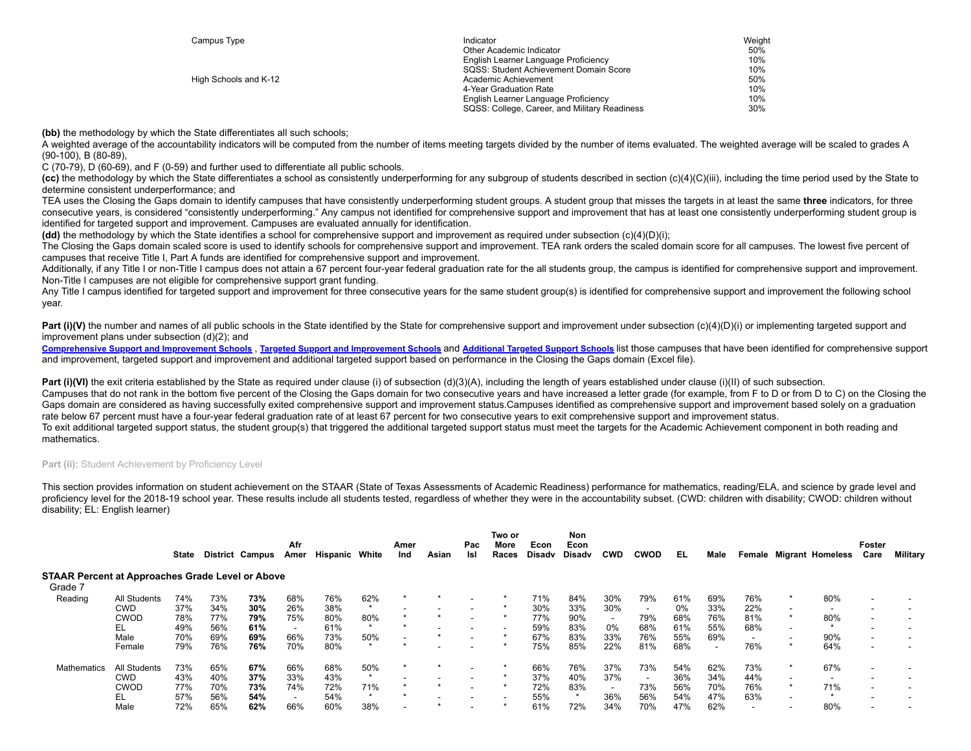| Campus Type           | Indicator                                     | Weight |
|-----------------------|-----------------------------------------------|--------|
|                       | Other Academic Indicator                      | 50%    |
|                       | English Learner Language Proficiency          | 10%    |
|                       | SQSS: Student Achievement Domain Score        | 10%    |
| High Schools and K-12 | Academic Achievement                          | 50%    |
|                       | 4-Year Graduation Rate                        | 10%    |
|                       | English Learner Language Proficiency          | 10%    |
|                       | SQSS: College, Career, and Military Readiness | 30%    |
|                       |                                               |        |

**(bb)** the methodology by which the State differentiates all such schools:

A weighted average of the accountability indicators will be computed from the number of items meeting targets divided by the number of items evaluated. The weighted average will be scaled to grades A (90-100), B (80-89),

C (70-79), D (60-69), and F (0-59) and further used to differentiate all public schools.

**(cc)** the methodology by which the State differentiates a school as consistently underperforming for any subgroup of students described in section (c)(4)(C)(iii), including the time period used by the State to determine consistent underperformance; and

TEA uses the Closing the Gaps domain to identify campuses that have consistently underperforming student groups. A student group that misses the targets in at least the same **three** indicators, for three consecutive years, is considered "consistently underperforming." Any campus not identified for comprehensive support and improvement that has at least one consistently underperforming student group is identified for targeted support and improvement. Campuses are evaluated annually for identification.

**(dd)** the methodology by which the State identifies a school for comprehensive support and improvement as required under subsection (c)(4)(D)(i);

The Closing the Gaps domain scaled score is used to identify schools for comprehensive support and improvement. TEA rank orders the scaled domain score for all campuses. The lowest five percent of campuses that receive Title I, Part A funds are identified for comprehensive support and improvement.

Additionally, if any Title I or non-Title I campus does not attain a 67 percent four-year federal graduation rate for the all students group, the campus is identified for comprehensive support and improvement. Non-Title I campuses are not eligible for comprehensive support grant funding.

Any Title I campus identified for targeted support and improvement for three consecutive years for the same student group(s) is identified for comprehensive support and improvement the following school year.

Part (i)(V) the number and names of all public schools in the State identified by the State for comprehensive support and improvement under subsection (c)(4)(D)(i) or implementing targeted support and improvement plans under subsection (d)(2); and

[Comprehensive](https://tea.texas.gov/sites/default/files/comprehensive_support_2019.xlsx) Support and [Improvement](https://tea.texas.gov/sites/default/files/target_support_2019.xlsx) Schools, Targeted Support and Improvement Schools and [Additional](https://tea.texas.gov/sites/default/files/additional_targeted_support_2019.xlsx) Targeted Support Schools list those campuses that have been identified for comprehensive support and improvement, targeted support and improvement and additional targeted support based on performance in the Closing the Gaps domain (Excel file).

**Part (i)(VI)** the exit criteria established by the State as required under clause (i) of subsection (d)(3)(A), including the length of years established under clause (i)(II) of such subsection. Campuses that do not rank in the bottom five percent of the Closing the Gaps domain for two consecutive years and have increased a letter grade (for example, from F to D or from D to C) on the Closing the Gaps domain are considered as having successfully exited comprehensive support and improvement status.Campuses identified as comprehensive support and improvement based solely on a graduation rate below 67 percent must have a four-year federal graduation rate of at least 67 percent for two consecutive years to exit comprehensive support and improvement status.

To exit additional targeted support status, the student group(s) that triggered the additional targeted support status must meet the targets for the Academic Achievement component in both reading and mathematics.

## Part (ii): Student Achievement by Proficiency Level

This section provides information on student achievement on the STAAR (State of Texas Assessments of Academic Readiness) performance for mathematics, reading/ELA, and science by grade level and proficiency level for the 2018-19 school year. These results include all students tested, regardless of whether they were in the accountability subset. (CWD: children with disability; CWOD: children without disability; EL: English learner)

|                                                  |                     | State |     | <b>District Campus</b> | Afr<br>Amer | Hispanic | White   | Amer<br>Ind | Asian | Pac<br>Isl | Two or<br>More<br>Races | Econ<br>Disadv | Non<br>Econ<br>Disadv | <b>CWD</b>               | <b>CWOD</b>              | EL    | Male |     | Female Migrant Homeless | Foster<br>Care           | Military |
|--------------------------------------------------|---------------------|-------|-----|------------------------|-------------|----------|---------|-------------|-------|------------|-------------------------|----------------|-----------------------|--------------------------|--------------------------|-------|------|-----|-------------------------|--------------------------|----------|
| STAAR Percent at Approaches Grade Level or Above |                     |       |     |                        |             |          |         |             |       |            |                         |                |                       |                          |                          |       |      |     |                         |                          |          |
| Grade 7                                          |                     |       |     |                        |             |          |         |             |       |            |                         |                |                       |                          |                          |       |      |     |                         |                          |          |
| Reading                                          | All Students        | 74%   | 73% | 73%                    | 68%         | 76%      | 62%     |             |       |            |                         | 71%            | 84%                   | 30%                      | 79%                      | 61%   | 69%  | 76% | 80%                     |                          |          |
|                                                  | <b>CWD</b>          | 37%   | 34% | 30%                    | 26%         | 38%      |         |             |       |            |                         | 30%            | 33%                   | 30%                      |                          | $0\%$ | 33%  | 22% |                         |                          |          |
|                                                  | <b>CWOD</b>         | 78%   | 77% | 79%                    | 75%         | 80%      | 80%     |             |       |            |                         | 77%            | 90%                   | $\overline{\phantom{a}}$ | 79%                      | 68%   | 76%  | 81% | 80%                     |                          |          |
|                                                  | EL                  | 49%   | 56% | 61%                    |             | 61%      |         |             |       |            |                         | 59%            | 83%                   | $0\%$                    | 68%                      | 61%   | 55%  | 68% |                         |                          |          |
|                                                  | Male                | 70%   | 69% | 69%                    | 66%         | 73%      | 50%     |             |       |            |                         | 67%            | 83%                   | 33%                      | 76%                      | 55%   | 69%  |     | 90%                     |                          |          |
|                                                  | Female              | 79%   | 76% | 76%                    | 70%         | 80%      | $\cdot$ | $\star$     |       |            |                         | 75%            | 85%                   | 22%                      | 81%                      | 68%   | ۰    | 76% | 64%                     | $\overline{\phantom{a}}$ |          |
| Mathematics                                      | <b>All Students</b> | 73%   | 65% | 67%                    | 66%         | 68%      | 50%     |             |       |            |                         | 66%            | 76%                   | 37%                      | 73%                      | 54%   | 62%  | 73% | 67%                     |                          |          |
|                                                  | <b>CWD</b>          | 43%   | 40% | 37%                    | 33%         | 43%      |         |             |       |            |                         | 37%            | 40%                   | 37%                      | $\overline{\phantom{a}}$ | 36%   | 34%  | 44% |                         |                          |          |
|                                                  | <b>CWOD</b>         | 77%   | 70% | 73%                    | 74%         | 72%      | 71%     |             |       |            |                         | 72%            | 83%                   | $\overline{\phantom{a}}$ | 73%                      | 56%   | 70%  | 76% | 71%                     |                          |          |
|                                                  | ΕL                  | 57%   | 56% | 54%                    |             | 54%      |         |             |       |            |                         | 55%            |                       | 36%                      | 56%                      | 54%   | 47%  | 63% |                         |                          |          |
|                                                  | Male                | 72%   | 65% | 62%                    | 66%         | 60%      | 38%     |             |       |            |                         | 61%            | 72%                   | 34%                      | 70%                      | 47%   | 62%  |     | 80%                     |                          |          |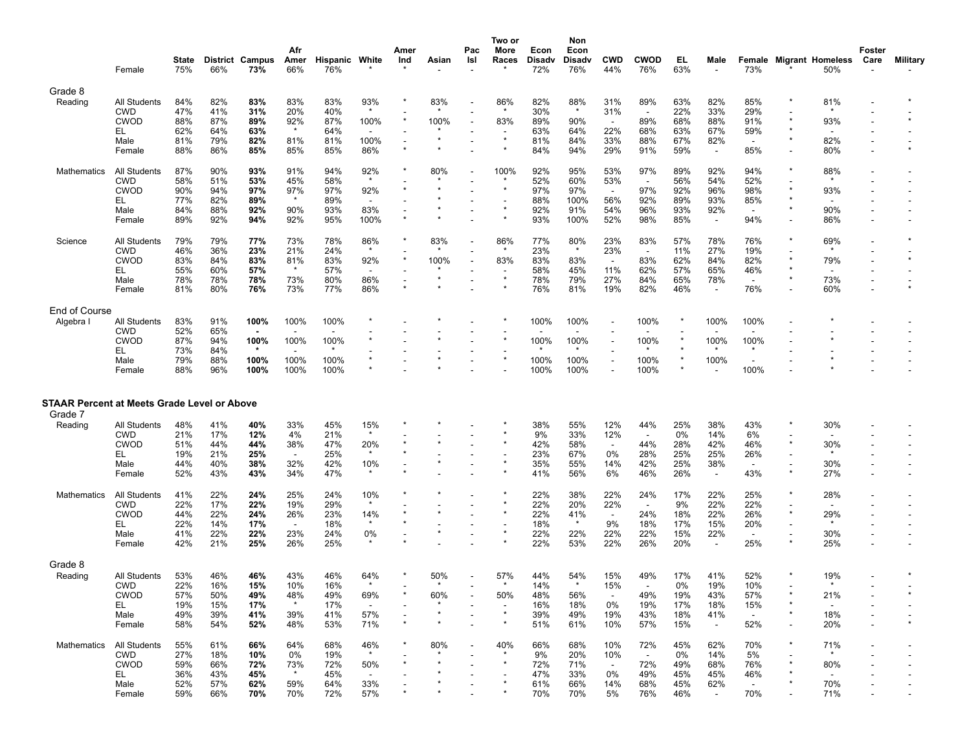|                                             |                           | <b>State</b> |                   | <b>District Campus</b> | Afr<br>Amer                     | Hispanic White |                                 | Amer<br>Ind | Asian | Pac<br>Isl     | Two or<br>More<br>Races  | Econ<br><b>Disadv</b> | Non<br>Econ<br><b>Disadv</b> | <b>CWD</b>               | <b>CWOD</b>              | EL         | Male                            |                          | <b>Female Migrant Homeless</b> | Foster<br>Care               | Military |
|---------------------------------------------|---------------------------|--------------|-------------------|------------------------|---------------------------------|----------------|---------------------------------|-------------|-------|----------------|--------------------------|-----------------------|------------------------------|--------------------------|--------------------------|------------|---------------------------------|--------------------------|--------------------------------|------------------------------|----------|
|                                             | Female                    | 75%          | 66%               | 73%                    | 66%                             | 76%            |                                 |             |       |                |                          | 72%                   | 76%                          | 44%                      | 76%                      | 63%        |                                 | 73%                      | 50%                            |                              |          |
| Grade 8                                     |                           | 84%          | 82%               | 83%                    | 83%                             | 83%            |                                 |             | 83%   |                |                          |                       | 88%                          | 31%                      | 89%                      |            |                                 |                          | 81%                            |                              |          |
| Reading                                     | All Students<br>CWD       | 47%          | 41%               | 31%                    | 20%                             | 40%            | 93%                             |             |       | $\overline{a}$ | 86%                      | 82%<br>30%            |                              | 31%                      |                          | 63%<br>22% | 82%<br>33%                      | 85%<br>29%               |                                |                              |          |
|                                             | <b>CWOD</b>               | 88%          | 87%               | 89%                    | 92%                             | 87%            | 100%                            |             | 100%  |                | 83%                      | 89%                   | 90%                          | $\overline{\phantom{a}}$ | 89%                      | 68%        | 88%                             | 91%                      | 93%                            |                              |          |
|                                             | EL                        | 62%          | 64%               | 63%                    | $\star$                         | 64%            |                                 |             |       |                | $\star$                  | 63%                   | 64%                          | 22%                      | 68%                      | 63%        | 67%                             | 59%                      |                                |                              |          |
|                                             | Male<br>Female            | 81%<br>88%   | 79%<br>86%        | 82%<br>85%             | 81%<br>85%                      | 81%<br>85%     | 100%<br>86%                     |             |       |                |                          | 81%<br>84%            | 84%<br>94%                   | 33%<br>29%               | 88%<br>91%               | 67%<br>59% | 82%<br>$\overline{\phantom{a}}$ | 85%                      | 82%<br>80%                     |                              |          |
| Mathematics                                 | All Students              | 87%          | 90%               | 93%                    | 91%                             | 94%            | 92%                             |             | 80%   |                | 100%                     | 92%                   | 95%                          | 53%                      | 97%                      | 89%        | 92%                             | 94%                      | 88%                            |                              |          |
|                                             | CWD                       | 58%          | 51%               | 53%                    | 45%                             | 58%            | $\star$                         |             |       |                |                          | 52%                   | 60%                          | 53%                      | $\overline{a}$           | 56%        | 54%                             | 52%                      |                                |                              |          |
|                                             | <b>CWOD</b><br>EL         | 90%<br>77%   | 94%<br>82%        | 97%<br>89%             | 97%<br>$\star$                  | 97%<br>89%     | 92%<br>$\overline{\phantom{a}}$ |             |       |                | $\overline{\phantom{a}}$ | 97%<br>88%            | 97%<br>100%                  | $\sim$<br>56%            | 97%<br>92%               | 92%<br>89% | 96%<br>93%                      | 98%                      | 93%                            |                              |          |
|                                             | Male                      | 84%          | 88%               | 92%                    | 90%                             | 93%            | 83%                             |             |       |                |                          | 92%                   | 91%                          | 54%                      | 96%                      | 93%        | 92%                             | 85%                      | 90%                            |                              |          |
|                                             | Female                    | 89%          | 92%               | 94%                    | 92%                             | 95%            | 100%                            |             |       |                |                          | 93%                   | 100%                         | 52%                      | 98%                      | 85%        |                                 | 94%                      | 86%                            |                              |          |
| Science                                     | <b>All Students</b>       | 79%          | 79%               | 77%                    | 73%                             | 78%            | 86%                             |             | 83%   |                | 86%                      | 77%                   | 80%                          | 23%                      | 83%                      | 57%        | 78%                             | 76%                      | 69%                            |                              |          |
|                                             | CWD<br><b>CWOD</b>        | 46%          | 36%<br>84%        | 23%                    | 21%                             | 24%            | $\star$                         |             |       |                |                          | 23%                   | $\star$<br>83%               | 23%                      | $\overline{\phantom{a}}$ | 11%        | 27%<br>84%                      | 19%                      | 79%                            |                              |          |
|                                             | EL                        | 83%<br>55%   | 60%               | 83%<br>57%             | 81%<br>$\star$                  | 83%<br>57%     | 92%                             |             | 100%  |                | 83%                      | 83%<br>58%            | 45%                          | $\sim$<br>11%            | 83%<br>62%               | 62%<br>57% | 65%                             | 82%<br>46%               |                                |                              |          |
|                                             | Male                      | 78%          | 78%               | 78%                    | 73%                             | 80%            | 86%                             |             |       |                | $\star$                  | 78%                   | 79%                          | 27%                      | 84%                      | 65%        | 78%                             |                          | 73%                            |                              |          |
|                                             | Female                    | 81%          | 80%               | 76%                    | 73%                             | 77%            | 86%                             |             |       |                |                          | 76%                   | 81%                          | 19%                      | 82%                      | 46%        | $\overline{\phantom{a}}$        | 76%                      | 60%                            |                              |          |
| End of Course                               |                           |              |                   |                        |                                 |                |                                 |             |       |                |                          |                       |                              |                          |                          |            |                                 |                          |                                |                              |          |
| Algebra I                                   | All Students              | 83%          | 91%               | 100%                   | 100%                            | 100%           |                                 |             |       |                |                          | 100%                  | 100%                         | $\overline{\phantom{a}}$ | 100%                     |            | 100%                            | 100%                     |                                |                              |          |
|                                             | CWD<br><b>CWOD</b>        | 52%<br>87%   | 65%<br>94%        | 100%                   | 100%                            | 100%           |                                 |             |       |                |                          | 100%                  | 100%                         |                          | 100%                     |            | 100%                            | 100%                     |                                |                              |          |
|                                             | EL                        | 73%          | 84%               | $\star$                |                                 | $\star$        |                                 |             |       |                |                          |                       |                              |                          |                          |            |                                 | $\star$                  |                                |                              |          |
|                                             | Male                      | 79%          | 88%               | 100%                   | 100%                            | 100%           |                                 |             |       |                | $\pmb{\ast}$             | 100%                  | 100%                         | $\overline{\phantom{a}}$ | 100%                     | $\star$    | 100%                            |                          |                                |                              |          |
|                                             | Female                    | 88%          | 96%               | 100%                   | 100%                            | 100%           |                                 |             |       |                |                          | 100%                  | 100%                         |                          | 100%                     |            |                                 | 100%                     |                                |                              |          |
| STAAR Percent at Meets Grade Level or Above |                           |              |                   |                        |                                 |                |                                 |             |       |                |                          |                       |                              |                          |                          |            |                                 |                          |                                |                              |          |
| Grade 7                                     |                           |              |                   |                        |                                 |                |                                 |             |       |                |                          |                       |                              |                          |                          |            |                                 |                          |                                |                              |          |
| Reading                                     | All Students              | 48%          | 41%               | 40%                    | 33%                             | 45%            | 15%                             |             |       |                |                          | 38%                   | 55%                          | 12%                      | 44%                      | 25%        | 38%                             | 43%                      | 30%                            |                              |          |
|                                             | CWD                       | 21%          | 17%               | 12%                    | 4%                              | 21%            |                                 |             |       |                |                          | 9%                    | 33%                          | 12%                      |                          | 0%         | 14%                             | 6%                       |                                |                              |          |
|                                             | <b>CWOD</b><br>EL         | 51%<br>19%   | 44%<br>21%        | 44%<br>25%             | 38%                             | 47%<br>25%     | 20%<br>$\star$                  |             |       |                |                          | 42%<br>23%            | 58%<br>67%                   | $\sim$<br>0%             | 44%<br>28%               | 28%<br>25% | 42%<br>25%                      | 46%                      | 30%                            |                              |          |
|                                             | Male                      | 44%          | 40%               | 38%                    | 32%                             | 42%            | 10%                             |             |       |                | $\pmb{\ast}$             | 35%                   | 55%                          | 14%                      | 42%                      | 25%        | 38%                             | 26%                      | 30%                            |                              |          |
|                                             | Female                    | 52%          | 43%               | 43%                    | 34%                             | 47%            | $\star$                         |             |       |                |                          | 41%                   | 56%                          | 6%                       | 46%                      | 26%        | $\overline{\phantom{a}}$        | 43%                      | 27%                            |                              |          |
| <b>Mathematics</b>                          | All Students              | 41%          | 22%               | 24%                    | 25%                             | 24%            | 10%                             |             |       |                |                          | 22%                   | 38%                          | 22%                      | 24%                      | 17%        | 22%                             | 25%                      | 28%                            |                              |          |
|                                             | CWD<br><b>CWOD</b>        | 22%<br>44%   | 17%<br>22%        | 22%                    | 19%                             | 29%            |                                 |             |       |                |                          | 22%<br>22%            | 20%<br>41%                   | 22%<br>$\sim$            | 24%                      | 9%         | 22%<br>22%                      | 22%                      | 29%                            |                              |          |
|                                             | EL                        | 22%          | 14%               | 24%<br>17%             | 26%<br>$\overline{\phantom{a}}$ | 23%<br>18%     | 14%<br>$\star$                  |             |       |                |                          | 18%                   |                              | 9%                       | 18%                      | 18%<br>17% | 15%                             | 26%<br>20%               |                                |                              |          |
|                                             | Male                      | 41%          | 22%               | 22%                    | 23%                             | 24%            | 0%                              |             |       |                |                          | 22%                   | 22%                          | 22%                      | 22%                      | 15%        | 22%                             | $\overline{\phantom{a}}$ | 30%                            |                              |          |
|                                             | Female                    | 42%          | 21%               | 25%                    | 26%                             | 25%            |                                 |             |       |                |                          | 22%                   | 53%                          | 22%                      | 26%                      | 20%        |                                 | 25%                      | 25%                            |                              |          |
| Grade 8                                     |                           |              |                   |                        |                                 |                |                                 |             |       |                |                          |                       |                              |                          |                          |            |                                 |                          |                                |                              |          |
| Reading                                     | All Students              | 53%          | 46%               | 46%                    | 43%                             | 46%            | 64%                             |             | 50%   |                | 57%                      | 44%                   | 54%                          | 15%                      | 49%                      | 17%        | 41%                             | 52%                      | 19%                            |                              |          |
|                                             | CWD<br>CWOD               | 22%<br>57%   | 16%<br>10/<br>50% | 15%<br>49%             | 10%<br>48%                      | 16%<br>49%     | 69%                             |             | 60%   |                | 50%                      | 14%<br>48%            | 56%                          | 15%<br>$\sim$            | 49%                      | 0%<br>19%  | 19%<br>43%                      | 10%<br>57%               | 21%                            |                              |          |
|                                             | EL.                       | 19%          | 15%               | 17%                    | $\star$                         | 17%            |                                 |             |       |                |                          | 16%                   | 18%                          | 0%                       | 19%                      | 17%        | 18%                             | 15%                      |                                |                              |          |
|                                             | Male                      | 49%          | 39%               | 41%                    | 39%                             | 41%            | 57%                             |             |       |                |                          | 39%                   | 49%                          | 19%                      | 43%                      | 18%        | 41%                             | $\sim$                   | 18%                            |                              |          |
|                                             | Female                    | 58%          | 54%               | 52%                    | 48%                             | 53%            | 71%                             |             |       |                | $\pmb{\ast}$             | 51%                   | 61%                          | 10%                      | 57%                      | 15%        |                                 | 52%                      | 20%                            |                              |          |
| Mathematics                                 | All Students              | 55%          | 61%               | 66%                    | 64%                             | 68%            | 46%                             |             | 80%   |                | 40%                      | 66%                   | 68%                          | 10%                      | 72%                      | 45%        | 62%                             | 70%                      | 71%                            |                              |          |
|                                             | <b>CWD</b><br><b>CWOD</b> | 27%<br>59%   | 18%<br>66%        | 10%<br>72%             | 0%<br>73%                       | 19%<br>72%     | 50%                             |             |       |                |                          | 9%<br>72%             | 20%<br>71%                   | 10%<br>$\sim$            | $\sim$<br>72%            | 0%<br>49%  | 14%<br>68%                      | 5%<br>76%                | 80%                            |                              |          |
|                                             | EL.                       | 36%          | 43%               | 45%                    | $\star$                         | 45%            |                                 |             |       |                |                          | 47%                   | 33%                          | 0%                       | 49%                      | 45%        | 45%                             | 46%                      |                                |                              |          |
|                                             | Male                      | 52%          | 57%               | 62%                    | 59%                             | 64%            | 33%                             |             |       |                |                          | 61%                   | 66%                          | 14%                      | 68%                      | 45%        | 62%                             | $\sim$                   | 70%                            |                              |          |
|                                             | Female                    | 59%          | 66%               | 70%                    | 70%                             | 72%            | 57%                             |             |       |                |                          | 70%                   | 70%                          | 5%                       | 76%                      | 46%        | $\overline{\phantom{a}}$        | 70%                      | 71%                            | $\qquad \qquad \blacksquare$ |          |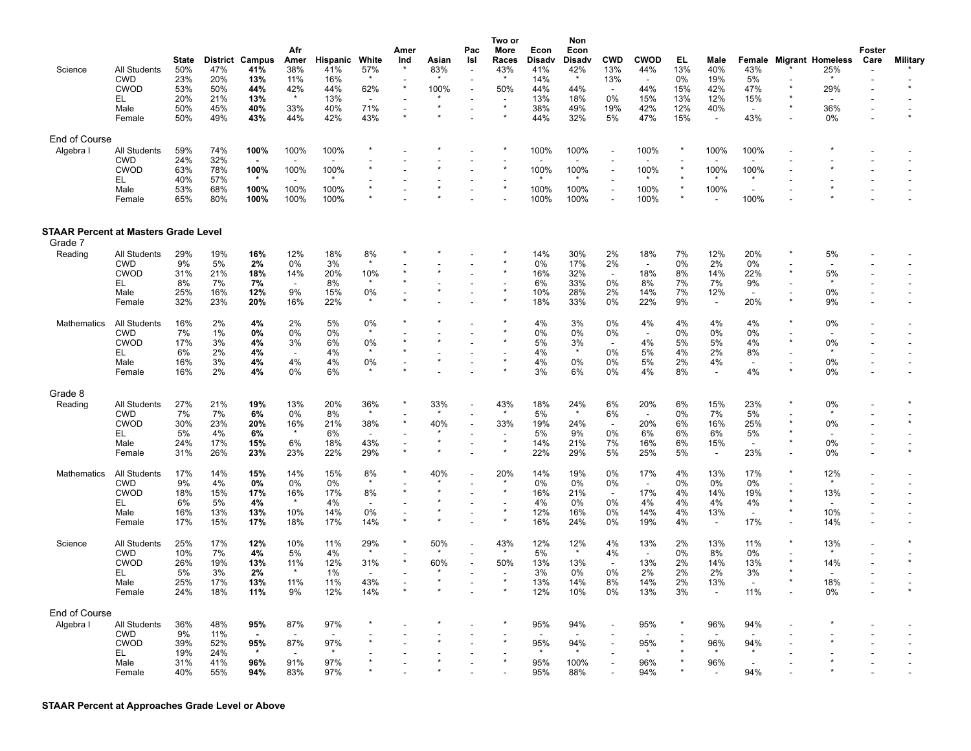| Science                                     | <b>All Students</b><br><b>CWD</b><br><b>CWOD</b><br>EL<br>Male<br>Female | State<br>50%<br>23%<br>53%<br>20%<br>50%<br>50% | <b>District</b><br>47%<br>20%<br>50%<br>21%<br>45%<br>49% | Campus<br>41%<br>13%<br>44%<br>13%<br>40%<br>43% | Afr<br>Amer<br>38%<br>11%<br>42%<br>33%<br>44% | Hispanic<br>41%<br>16%<br>44%<br>13%<br>40%<br>42% | White<br>57%<br>$\star$<br>62%<br>$\overline{\phantom{a}}$<br>71%<br>43% | Amer<br>Ind<br>$\star$<br>$\overline{a}$<br>$\star$ | Asian<br>83%<br>100% | Pac<br>Isl<br>$\overline{\phantom{a}}$ | Two or<br>More<br>Races<br>43%<br>$\star$<br>50%<br>$\star$ | Econ<br>Disady<br>41%<br>14%<br>44%<br>13%<br>38%<br>44% | Non<br>Econ<br>Disadv<br>42%<br>44%<br>18%<br>49%<br>32% | <b>CWD</b><br>13%<br>13%<br>$\overline{\phantom{a}}$<br>0%<br>19%<br>5% | <b>CWOD</b><br>44%<br>$\overline{\phantom{a}}$<br>44%<br>15%<br>42%<br>47% | EL<br>13%<br>0%<br>15%<br>13%<br>12%<br>15% | Male<br>40%<br>19%<br>42%<br>12%<br>40%<br>$\overline{\phantom{a}}$ | Female<br>43%<br>5%<br>47%<br>15%<br>$\sim$<br>43% |         | <b>Migrant Homeless</b><br>25%<br>29%<br>36%<br>0% | Foster<br>Care | Military |
|---------------------------------------------|--------------------------------------------------------------------------|-------------------------------------------------|-----------------------------------------------------------|--------------------------------------------------|------------------------------------------------|----------------------------------------------------|--------------------------------------------------------------------------|-----------------------------------------------------|----------------------|----------------------------------------|-------------------------------------------------------------|----------------------------------------------------------|----------------------------------------------------------|-------------------------------------------------------------------------|----------------------------------------------------------------------------|---------------------------------------------|---------------------------------------------------------------------|----------------------------------------------------|---------|----------------------------------------------------|----------------|----------|
| End of Course                               |                                                                          |                                                 |                                                           |                                                  |                                                |                                                    |                                                                          |                                                     |                      |                                        |                                                             |                                                          |                                                          |                                                                         |                                                                            |                                             |                                                                     |                                                    |         |                                                    |                |          |
| Algebra I                                   | <b>All Students</b>                                                      | 59%                                             | 74%                                                       | 100%                                             | 100%                                           | 100%                                               |                                                                          |                                                     |                      |                                        |                                                             | 100%                                                     | 100%                                                     |                                                                         | 100%                                                                       |                                             | 100%                                                                | 100%                                               |         |                                                    |                |          |
|                                             | <b>CWD</b><br><b>CWOD</b>                                                | 24%<br>63%                                      | 32%<br>78%                                                | $\blacksquare$<br>100%                           | 100%                                           | 100%                                               |                                                                          |                                                     |                      |                                        | $\star$                                                     | 100%                                                     | 100%                                                     | $\overline{\phantom{a}}$                                                | 100%                                                                       | $\star$                                     | 100%                                                                | $\overline{\phantom{a}}$<br>100%                   |         |                                                    |                |          |
|                                             | EL<br>Male<br>Female                                                     | 40%<br>53%<br>65%                               | 57%<br>68%<br>80%                                         | 100%<br>100%                                     | 100%<br>100%                                   | 100%<br>100%                                       |                                                                          |                                                     |                      |                                        | $\star$                                                     | 100%<br>100%                                             | 100%<br>100%                                             | $\overline{\phantom{a}}$                                                | 100%<br>100%                                                               | $\star$<br>$\star$                          | 100%                                                                | $\star$<br>100%                                    |         |                                                    |                |          |
| <b>STAAR Percent at Masters Grade Level</b> |                                                                          |                                                 |                                                           |                                                  |                                                |                                                    |                                                                          |                                                     |                      |                                        |                                                             |                                                          |                                                          |                                                                         |                                                                            |                                             |                                                                     |                                                    |         |                                                    |                |          |
| Grade 7                                     |                                                                          |                                                 |                                                           |                                                  |                                                |                                                    |                                                                          |                                                     |                      |                                        |                                                             |                                                          |                                                          |                                                                         |                                                                            |                                             |                                                                     |                                                    |         |                                                    |                |          |
| Reading                                     | All Students<br><b>CWD</b>                                               | 29%<br>9%                                       | 19%<br>5%                                                 | 16%<br>2%                                        | 12%<br>0%                                      | 18%<br>3%                                          | 8%<br>$\star$                                                            |                                                     |                      |                                        |                                                             | 14%<br>0%                                                | 30%<br>17%                                               | 2%<br>2%                                                                | 18%<br>$\sim$                                                              | 7%<br>0%                                    | 12%<br>2%                                                           | 20%<br>0%                                          |         | 5%                                                 |                |          |
|                                             | <b>CWOD</b><br>EL                                                        | 31%<br>8%                                       | 21%<br>7%                                                 | 18%<br>7%                                        | 14%<br>$\overline{\phantom{a}}$                | 20%<br>8%                                          | 10%                                                                      |                                                     |                      |                                        |                                                             | 16%<br>6%                                                | 32%<br>33%                                               | $\sim$<br>0%                                                            | 18%<br>8%                                                                  | 8%<br>7%                                    | 14%<br>7%                                                           | 22%<br>9%                                          |         | 5%                                                 |                |          |
|                                             | Male                                                                     | 25%                                             | 16%                                                       | 12%                                              | 9%                                             | 15%                                                | 0%                                                                       |                                                     |                      |                                        |                                                             | 10%                                                      | 28%                                                      | 2%                                                                      | 14%                                                                        | 7%                                          | 12%                                                                 | $\overline{\phantom{a}}$                           |         | 0%                                                 |                |          |
|                                             | Female                                                                   | 32%                                             | 23%                                                       | 20%                                              | 16%                                            | 22%                                                | $\star$                                                                  |                                                     |                      |                                        | $\star$                                                     | 18%                                                      | 33%                                                      | 0%                                                                      | 22%                                                                        | 9%                                          | $\overline{\phantom{a}}$                                            | 20%                                                | $\star$ | 9%                                                 |                |          |
| Mathematics                                 | <b>All Students</b>                                                      | 16%                                             | 2%                                                        | 4%                                               | 2%                                             | 5%                                                 | 0%                                                                       |                                                     |                      |                                        |                                                             | 4%                                                       | 3%                                                       | 0%                                                                      | 4%                                                                         | 4%                                          | 4%                                                                  | 4%                                                 |         | 0%                                                 |                |          |
|                                             | <b>CWD</b><br><b>CWOD</b>                                                | 7%<br>17%                                       | 1%<br>3%                                                  | 0%<br>4%                                         | 0%<br>3%                                       | 0%<br>6%                                           | 0%                                                                       |                                                     |                      |                                        |                                                             | 0%<br>5%                                                 | 0%<br>3%                                                 | 0%<br>$\overline{\phantom{a}}$                                          | 4%                                                                         | 0%<br>5%                                    | 0%<br>5%                                                            | 0%<br>4%                                           |         | 0%                                                 |                |          |
|                                             | EL                                                                       | 6%                                              | 2%                                                        | 4%                                               |                                                | 4%                                                 | $\star$                                                                  |                                                     |                      |                                        |                                                             | 4%                                                       | $\star$                                                  | 0%                                                                      | 5%                                                                         | 4%                                          | 2%                                                                  | 8%                                                 |         | $\star$                                            |                |          |
|                                             | Male<br>Female                                                           | 16%<br>16%                                      | 3%<br>2%                                                  | 4%<br>4%                                         | 4%<br>0%                                       | 4%<br>6%                                           | 0%                                                                       | $\overline{a}$                                      |                      |                                        |                                                             | 4%<br>3%                                                 | 0%<br>6%                                                 | 0%<br>0%                                                                | 5%<br>4%                                                                   | 2%<br>8%                                    | 4%<br>$\overline{\phantom{a}}$                                      | $\overline{\phantom{a}}$<br>4%                     |         | 0%<br>0%                                           |                |          |
| Grade 8                                     |                                                                          |                                                 |                                                           |                                                  |                                                |                                                    |                                                                          |                                                     |                      |                                        |                                                             |                                                          |                                                          |                                                                         |                                                                            |                                             |                                                                     |                                                    |         |                                                    |                |          |
| Reading                                     | <b>All Students</b>                                                      | 27%                                             | 21%                                                       | 19%                                              | 13%                                            | 20%                                                | 36%                                                                      |                                                     | 33%                  |                                        | 43%                                                         | 18%                                                      | 24%                                                      | 6%                                                                      | 20%                                                                        | 6%                                          | 15%                                                                 | 23%                                                | $\star$ | 0%                                                 |                |          |
|                                             | <b>CWD</b>                                                               | 7%                                              | 7%                                                        | 6%                                               | 0%                                             | 8%                                                 | $\star$                                                                  | $\star$                                             |                      |                                        | $\star$                                                     | 5%                                                       |                                                          | 6%                                                                      |                                                                            | 0%                                          | 7%                                                                  | 5%                                                 |         |                                                    |                |          |
|                                             | <b>CWOD</b><br>EL                                                        | 30%<br>5%                                       | 23%<br>4%                                                 | 20%<br>6%                                        | 16%                                            | 21%<br>6%                                          | 38%                                                                      |                                                     | 40%                  |                                        | 33%                                                         | 19%<br>5%                                                | 24%<br>9%                                                | $\sim$<br>0%                                                            | 20%<br>6%                                                                  | 6%<br>6%                                    | 16%<br>6%                                                           | 25%<br>5%                                          |         | 0%                                                 |                |          |
|                                             | Male                                                                     | 24%                                             | 17%                                                       | 15%                                              | 6%                                             | 18%                                                | 43%                                                                      | $\overline{a}$                                      |                      |                                        | $\star$                                                     | 14%                                                      | 21%                                                      | 7%                                                                      | 16%                                                                        | 6%                                          | 15%                                                                 | $\overline{\phantom{a}}$                           |         | 0%                                                 |                |          |
|                                             | Female                                                                   | 31%                                             | 26%                                                       | 23%                                              | 23%                                            | 22%                                                | 29%                                                                      | $\star$                                             |                      |                                        |                                                             | 22%                                                      | 29%                                                      | 5%                                                                      | 25%                                                                        | 5%                                          | $\sim$                                                              | 23%                                                |         | 0%                                                 |                |          |
| <b>Mathematics</b>                          | <b>All Students</b>                                                      | 17%                                             | 14%                                                       | 15%                                              | 14%                                            | 15%                                                | 8%<br>$\star$                                                            |                                                     | 40%                  |                                        | 20%                                                         | 14%                                                      | 19%                                                      | 0%                                                                      | 17%                                                                        | 4%                                          | 13%                                                                 | 17%                                                |         | 12%                                                |                |          |
|                                             | <b>CWD</b><br><b>CWOD</b>                                                | 9%<br>18%                                       | 4%<br>15%                                                 | 0%<br>17%                                        | 0%<br>16%                                      | 0%<br>17%                                          | 8%                                                                       | $\star$                                             |                      |                                        |                                                             | 0%<br>16%                                                | 0%<br>21%                                                | 0%<br>$\sim$                                                            | $\overline{\phantom{a}}$<br>17%                                            | 0%<br>4%                                    | 0%<br>14%                                                           | 0%<br>19%                                          |         | 13%                                                |                |          |
|                                             | EL                                                                       | 6%                                              | 5%                                                        | 4%                                               |                                                | 4%                                                 | ٠                                                                        |                                                     |                      |                                        |                                                             | 4%                                                       | 0%                                                       | 0%                                                                      | 4%                                                                         | 4%                                          | 4%                                                                  | 4%                                                 |         |                                                    |                |          |
|                                             | Male<br>Female                                                           | 16%<br>17%                                      | 13%<br>15%                                                | 13%<br>17%                                       | 10%<br>18%                                     | 14%<br>17%                                         | 0%<br>14%                                                                | $\overline{a}$                                      |                      |                                        | $\star$                                                     | 12%<br>16%                                               | 16%<br>24%                                               | 0%<br>0%                                                                | 14%<br>19%                                                                 | 4%<br>4%                                    | 13%<br>$\overline{\phantom{a}}$                                     | $\overline{\phantom{a}}$<br>17%                    |         | 10%<br>14%                                         |                |          |
| Science                                     | <b>All Students</b>                                                      | 25%                                             | 17%                                                       | 12%                                              | 10%                                            | 11%                                                | 29%                                                                      |                                                     | 50%                  |                                        | 43%                                                         | 12%                                                      | 12%                                                      | 4%                                                                      | 13%                                                                        | 2%                                          | 13%                                                                 | 11%                                                |         | 13%                                                |                |          |
|                                             | <b>CWD</b>                                                               | 10%                                             | 7%                                                        | 4%                                               | 5%                                             | 4%                                                 | $\star$                                                                  |                                                     |                      |                                        | $\star$                                                     | 5%                                                       |                                                          | 4%                                                                      | $\overline{\phantom{a}}$                                                   | 0%                                          | 8%                                                                  | 0%                                                 |         |                                                    |                |          |
|                                             | <b>CWOD</b>                                                              | 26%                                             | 19%                                                       | 13%                                              | 11%                                            | 12%                                                | 31%                                                                      |                                                     | 60%                  |                                        | 50%                                                         | 13%                                                      | 13%                                                      | $\overline{\phantom{a}}$                                                | 13%                                                                        | 2%                                          | 14%                                                                 | 13%                                                |         | 14%                                                |                |          |
|                                             | EL<br>Male                                                               | 5%<br>25%                                       | 3%<br>17%                                                 | 2%<br>13%                                        | 11%                                            | 1%<br>11%                                          | 43%                                                                      |                                                     |                      |                                        |                                                             | 3%<br>13%                                                | 0%<br>14%                                                | 0%<br>8%                                                                | 2%<br>14%                                                                  | 2%<br>2%                                    | 2%<br>13%                                                           | 3%                                                 |         | 18%                                                |                |          |
|                                             | Female                                                                   | 24%                                             | 18%                                                       | 11%                                              | 9%                                             | 12%                                                | 14%                                                                      | $\star$                                             |                      |                                        |                                                             | 12%                                                      | 10%                                                      | 0%                                                                      | 13%                                                                        | 3%                                          | $\overline{\phantom{a}}$                                            | 11%                                                |         | 0%                                                 |                |          |
| End of Course                               |                                                                          |                                                 |                                                           |                                                  |                                                |                                                    |                                                                          |                                                     |                      |                                        |                                                             |                                                          |                                                          |                                                                         |                                                                            |                                             |                                                                     |                                                    |         |                                                    |                |          |
| Algebra I                                   | All Students                                                             | 36%                                             | 48%                                                       | 95%                                              | 87%                                            | 97%                                                |                                                                          |                                                     |                      |                                        |                                                             | 95%                                                      | 94%                                                      |                                                                         | 95%                                                                        |                                             | 96%                                                                 | 94%                                                |         |                                                    |                |          |
|                                             | <b>CWD</b><br><b>CWOD</b>                                                | 9%<br>39%                                       | 11%<br>52%                                                | $\overline{\phantom{a}}$<br>95%                  | 87%                                            | 97%                                                |                                                                          |                                                     |                      |                                        |                                                             | 95%                                                      | 94%                                                      |                                                                         | 95%                                                                        |                                             | 96%                                                                 | $\overline{\phantom{a}}$<br>94%                    |         |                                                    |                |          |
|                                             | EL.                                                                      | 19%                                             | 24%                                                       | $\ast$                                           |                                                | $\star$                                            |                                                                          |                                                     |                      |                                        |                                                             | $\star$                                                  |                                                          |                                                                         |                                                                            |                                             |                                                                     |                                                    |         |                                                    |                |          |
|                                             | Male<br>Female                                                           | 31%<br>40%                                      | 41%<br>55%                                                | 96%<br>94%                                       | 91%<br>83%                                     | 97%<br>97%                                         |                                                                          |                                                     |                      |                                        |                                                             | 95%<br>95%                                               | 100%<br>88%                                              |                                                                         | 96%<br>94%                                                                 |                                             | 96%                                                                 | 94%                                                |         |                                                    |                |          |
|                                             |                                                                          |                                                 |                                                           |                                                  |                                                |                                                    |                                                                          |                                                     |                      |                                        |                                                             |                                                          |                                                          |                                                                         |                                                                            |                                             |                                                                     |                                                    |         |                                                    |                |          |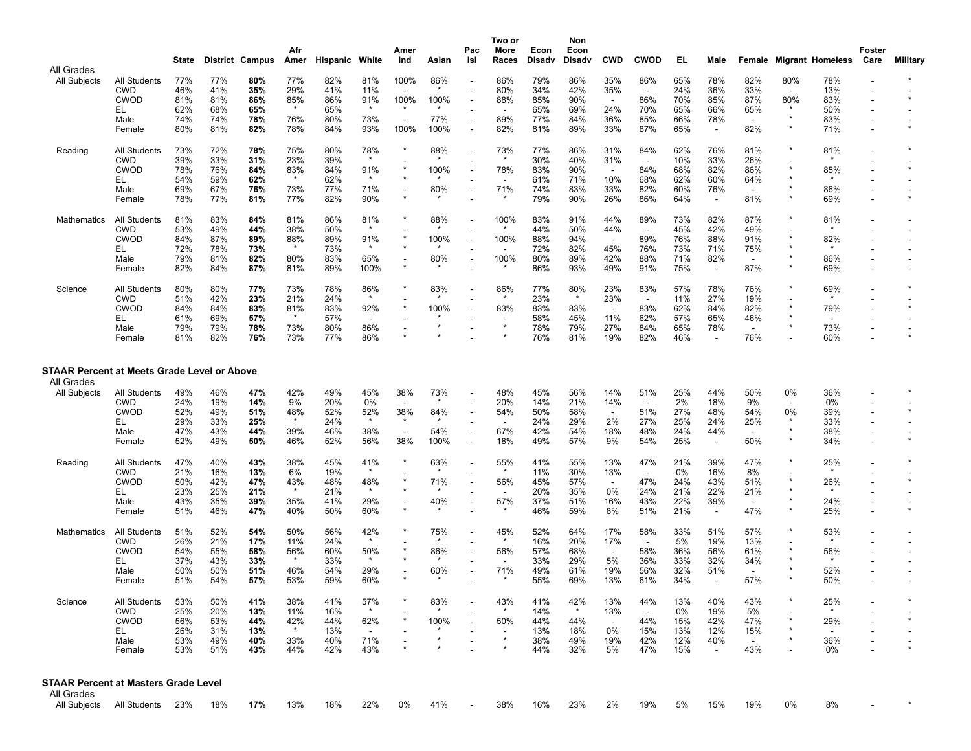|                                                    |                                   | State      |            | District Campus | Afr<br>Amer    | <b>Hispanic White</b> |                                 | Amer<br>Ind              | Asian          | Pac<br>Isl               | Two or<br>More<br>Races  | Econ<br><b>Disadv</b> | Non<br>Econ<br><b>Disadv</b> | <b>CWD</b>                      | <b>CWOD</b>                     | EL         | Male                            | Female                          |         | <b>Migrant Homeless</b> | Foster<br>Care           | <b>Military</b> |
|----------------------------------------------------|-----------------------------------|------------|------------|-----------------|----------------|-----------------------|---------------------------------|--------------------------|----------------|--------------------------|--------------------------|-----------------------|------------------------------|---------------------------------|---------------------------------|------------|---------------------------------|---------------------------------|---------|-------------------------|--------------------------|-----------------|
| All Grades<br>All Subjects                         | All Students                      | 77%        | 77%        | 80%             | 77%            | 82%                   | 81%                             | 100%                     | 86%            |                          | 86%                      | 79%                   | 86%                          | 35%                             | 86%                             | 65%        | 78%                             | 82%                             | 80%     | 78%                     |                          |                 |
|                                                    | <b>CWD</b>                        | 46%        | 41%        | 35%             | 29%            | 41%                   | 11%                             |                          | $\star$        |                          | 80%                      | 34%                   | 42%                          | 35%                             | <b>.</b>                        | 24%        | 36%                             | 33%                             |         | 13%                     |                          |                 |
|                                                    | <b>CWOD</b>                       | 81%        | 81%        | 86%             | 85%            | 86%<br>65%            | 91%                             | 100%                     | 100%           |                          | 88%                      | 85%                   | 90%                          | $\overline{\phantom{a}}$        | 86%                             | 70%        | 85%                             | 87%                             | 80%     | 83%                     |                          |                 |
|                                                    | EL.<br>Male                       | 62%<br>74% | 68%<br>74% | 65%<br>78%      | 76%            | 80%                   | 73%                             | $\overline{\phantom{a}}$ | 77%            |                          | 89%                      | 65%<br>77%            | 69%<br>84%                   | 24%<br>36%                      | 70%<br>85%                      | 65%<br>66% | 66%<br>78%                      | 65%<br>$\sim$                   |         | 50%<br>83%              |                          |                 |
|                                                    | Female                            | 80%        | 81%        | 82%             | 78%            | 84%                   | 93%                             | 100%                     | 100%           | $\overline{\phantom{a}}$ | 82%                      | 81%                   | 89%                          | 33%                             | 87%                             | 65%        | $\sim$                          | 82%                             | $\star$ | 71%                     | L,                       |                 |
| Reading                                            | <b>All Students</b>               | 73%        | 72%        | 78%             | 75%            | 80%                   | 78%                             |                          | 88%            |                          | 73%                      | 77%                   | 86%                          | 31%                             | 84%                             | 62%        | 76%                             | 81%                             |         | 81%                     |                          |                 |
|                                                    | <b>CWD</b><br><b>CWOD</b>         | 39%<br>78% | 33%<br>76% | 31%<br>84%      | 23%<br>83%     | 39%<br>84%            | $\star$<br>91%                  |                          | 100%           |                          | $\star$<br>78%           | 30%<br>83%            | 40%<br>90%                   | 31%<br>$\overline{\phantom{a}}$ | $\sim$<br>84%                   | 10%<br>68% | 33%<br>82%                      | 26%<br>86%                      |         | 85%                     |                          |                 |
|                                                    | EL.                               | 54%        | 59%        | 62%             | $\star$        | 62%                   |                                 |                          |                |                          | $\overline{\phantom{a}}$ | 61%                   | 71%                          | 10%                             | 68%                             | 62%        | 60%                             | 64%                             |         |                         |                          |                 |
|                                                    | Male                              | 69%        | 67%        | 76%             | 73%            | 77%                   | 71%                             | $\star$                  | 80%            |                          | 71%<br>$\star$           | 74%                   | 83%                          | 33%                             | 82%                             | 60%        | 76%                             | $\overline{\phantom{a}}$        |         | 86%                     |                          |                 |
|                                                    | Female                            | 78%        | 77%        | 81%             | 77%            | 82%                   | 90%                             |                          |                |                          |                          | 79%                   | 90%                          | 26%                             | 86%                             | 64%        | $\sim$                          | 81%                             |         | 69%                     |                          |                 |
| Mathematics                                        | <b>All Students</b><br><b>CWD</b> | 81%<br>53% | 83%<br>49% | 84%<br>44%      | 81%<br>38%     | 86%<br>50%            | 81%                             |                          | 88%            |                          | 100%                     | 83%<br>44%            | 91%<br>50%                   | 44%<br>44%                      | 89%<br>$\overline{\phantom{a}}$ | 73%<br>45% | 82%<br>42%                      | 87%<br>49%                      |         | 81%                     |                          |                 |
|                                                    | <b>CWOD</b>                       | 84%        | 87%        | 89%             | 88%            | 89%                   | 91%                             |                          | 100%           | $\overline{\phantom{a}}$ | 100%                     | 88%                   | 94%                          | $\sim$                          | 89%                             | 76%        | 88%                             | 91%                             |         | 82%                     |                          |                 |
|                                                    | EL                                | 72%        | 78%        | 73%             | $\star$        | 73%                   |                                 |                          |                | $\overline{\phantom{a}}$ |                          | 72%                   | 82%                          | 45%                             | 76%                             | 73%        | 71%                             | 75%                             |         |                         |                          |                 |
|                                                    | Male<br>Female                    | 79%<br>82% | 81%<br>84% | 82%<br>87%      | 80%<br>81%     | 83%<br>89%            | 65%<br>100%                     | $\star$                  | 80%            | ٠                        | 100%                     | 80%<br>86%            | 89%<br>93%                   | 42%<br>49%                      | 88%<br>91%                      | 71%<br>75% | 82%<br>$\sim$                   | $\sim$<br>87%                   |         | 86%<br>69%              |                          |                 |
| Science                                            | All Students                      | 80%        | 80%        | 77%             | 73%            | 78%                   | 86%                             |                          | 83%            |                          | 86%                      | 77%                   | 80%                          | 23%                             | 83%                             | 57%        | 78%                             | 76%                             |         | 69%                     | $\overline{a}$           |                 |
|                                                    | <b>CWD</b>                        | 51%        | 42%        | 23%             | 21%            | 24%                   | $\star$                         |                          |                |                          |                          | 23%                   | $\star$                      | 23%                             | $\sim$                          | 11%        | 27%                             | 19%                             |         |                         |                          |                 |
|                                                    | <b>CWOD</b>                       | 84%        | 84%        | 83%             | 81%<br>$\star$ | 83%                   | 92%                             |                          | 100%           | $\overline{\phantom{a}}$ | 83%                      | 83%                   | 83%                          | $\overline{\phantom{a}}$        | 83%                             | 62%        | 84%                             | 82%                             |         | 79%                     |                          |                 |
|                                                    | EL<br>Male                        | 61%<br>79% | 69%<br>79% | 57%<br>78%      | 73%            | 57%<br>80%            | $\overline{\phantom{a}}$<br>86% |                          |                | ٠                        | $\star$                  | 58%<br>78%            | 45%<br>79%                   | 11%<br>27%                      | 62%<br>84%                      | 57%<br>65% | 65%<br>78%                      | 46%<br>$\overline{\phantom{a}}$ |         | 73%                     |                          |                 |
|                                                    | Female                            | 81%        | 82%        | 76%             | 73%            | 77%                   | 86%                             |                          |                |                          |                          | 76%                   | 81%                          | 19%                             | 82%                             | 46%        | $\overline{\phantom{a}}$        | 76%                             |         | 60%                     |                          |                 |
| <b>STAAR Percent at Meets Grade Level or Above</b> |                                   |            |            |                 |                |                       |                                 |                          |                |                          |                          |                       |                              |                                 |                                 |            |                                 |                                 |         |                         |                          |                 |
| All Grades                                         |                                   |            |            |                 |                |                       |                                 |                          |                |                          |                          |                       |                              |                                 |                                 |            |                                 |                                 |         |                         |                          |                 |
| All Subjects                                       | All Students                      | 49%        | 46%        | 47%             | 42%            | 49%                   | 45%                             | 38%                      | 73%<br>$\star$ |                          | 48%                      | 45%                   | 56%                          | 14%                             | 51%                             | 25%        | 44%                             | 50%                             | 0%      | 36%                     |                          |                 |
|                                                    | <b>CWD</b><br><b>CWOD</b>         | 24%<br>52% | 19%<br>49% | 14%<br>51%      | 9%<br>48%      | 20%<br>52%            | 0%<br>52%                       | 38%                      | 84%            |                          | 20%<br>54%               | 14%<br>50%            | 21%<br>58%                   | 14%<br>$\overline{\phantom{a}}$ | ٠.<br>51%                       | 2%<br>27%  | 18%<br>48%                      | 9%<br>54%                       | 0%      | 0%<br>39%               |                          |                 |
|                                                    | EL.                               | 29%        | 33%        | 25%             | $\star$        | 24%                   |                                 |                          |                |                          |                          | 24%                   | 29%                          | 2%                              | 27%                             | 25%        | 24%                             | 25%                             |         | 33%                     | $\overline{\phantom{a}}$ |                 |
|                                                    | Male<br>Female                    | 47%<br>52% | 43%<br>49% | 44%<br>50%      | 39%<br>46%     | 46%<br>52%            | 38%<br>56%                      | 38%                      | 54%<br>100%    | $\overline{\phantom{a}}$ | 67%<br>18%               | 42%<br>49%            | 54%<br>57%                   | 18%<br>9%                       | 48%<br>54%                      | 24%<br>25% | 44%<br>$\overline{\phantom{a}}$ | 50%                             | $\star$ | 38%<br>34%              |                          |                 |
| Reading                                            | All Students                      | 47%        | 40%        | 43%             | 38%            | 45%                   | 41%                             |                          | 63%            |                          | 55%                      | 41%                   | 55%                          | 13%                             | 47%                             | 21%        | 39%                             | 47%                             |         | 25%                     |                          |                 |
|                                                    | <b>CWD</b>                        | 21%        | 16%        | 13%             | 6%             | 19%                   |                                 |                          |                |                          |                          | 11%                   | 30%                          | 13%                             | $\overline{\phantom{a}}$        | 0%         | 16%                             | 8%                              |         |                         |                          |                 |
|                                                    | <b>CWOD</b>                       | 50%        | 42%        | 47%             | 43%<br>$\star$ | 48%                   | 48%                             |                          | 71%            | $\overline{\phantom{a}}$ | 56%                      | 45%                   | 57%                          | $\sim$                          | 47%                             | 24%        | 43%                             | 51%                             |         | 26%                     |                          |                 |
|                                                    | EL.<br>Male                       | 23%<br>43% | 25%<br>35% | 21%<br>39%      | 35%            | 21%<br>41%            | 29%                             |                          | 40%            |                          | 57%                      | 20%<br>37%            | 35%<br>51%                   | 0%<br>16%                       | 24%<br>43%                      | 21%<br>22% | 22%<br>39%                      | 21%<br>$\sim$                   |         | 24%                     |                          |                 |
|                                                    | Female                            | 51%        | 46%        | 47%             | 40%            | 50%                   | 60%                             |                          |                |                          |                          | 46%                   | 59%                          | 8%                              | 51%                             | 21%        | $\overline{\phantom{a}}$        | 47%                             |         | 25%                     |                          |                 |
| Mathematics                                        | All Students                      | 51%        | 52%        | 54%             | 50%            | 56%                   | 42%                             |                          | 75%            |                          | 45%                      | 52%                   | 64%                          | 17%                             | 58%                             | 33%        | 51%                             | 57%                             |         | 53%                     |                          |                 |
|                                                    | <b>CWD</b><br><b>CWOD</b>         | 26%<br>54% | 21%<br>55% | 17%<br>58%      | 11%<br>56%     | 24%<br>60%            | $\star$<br>50%                  |                          | 86%            |                          | 56%                      | 16%<br>57%            | 20%<br>68%                   | 17%<br>$\overline{\phantom{a}}$ | $\sim$<br>58%                   | 5%<br>36%  | 19%<br>56%                      | 13%<br>61%                      |         | 56%                     |                          |                 |
|                                                    | EL                                | 37%        | 43%        | 33%             | $\star$        | 33%                   |                                 |                          |                |                          |                          | 33%                   | 29%                          | 5%                              | 36%                             | 33%        | 32%                             | 34%                             |         |                         |                          |                 |
|                                                    | Male                              | 50%        | 50%        | 51%             | 46%            | 54%                   | 29%                             |                          | 60%            |                          | 71%                      | 49%                   | 61%                          | 19%                             | 56%                             | 32%        | 51%                             | $\overline{\phantom{a}}$        |         | 52%                     |                          |                 |
|                                                    | Female                            | 51%        | 54%        | 57%             | 53%            | 59%                   | 60%                             |                          |                |                          |                          | 55%                   | 69%                          | 13%                             | 61%                             | 34%        |                                 | 57%                             |         | 50%                     |                          |                 |
| Science                                            | All Students<br><b>CWD</b>        | 53%<br>25% | 50%<br>20% | 41%<br>13%      | 38%<br>11%     | 41%<br>16%            | 57%                             |                          | 83%            |                          | 43%                      | 41%<br>14%            | 42%                          | 13%<br>13%                      | 44%                             | 13%<br>0%  | 40%<br>19%                      | 43%<br>5%                       |         | 25%                     |                          |                 |
|                                                    | <b>CWOD</b>                       | 56%        | 53%        | 44%             | 42%            | 44%                   | 62%                             |                          | 100%           |                          | 50%                      | 44%                   | 44%                          | $\sim$                          | 44%                             | 15%        | 42%                             | 47%                             |         | 29%                     |                          |                 |
|                                                    | EL.                               | 26%        | 31%        | 13%             | $\star$        | 13%                   |                                 |                          |                |                          |                          | 13%                   | 18%                          | 0%                              | 15%                             | 13%        | 12%                             | 15%                             |         |                         |                          |                 |
|                                                    | Male<br>Female                    | 53%<br>53% | 49%<br>51% | 40%<br>43%      | 33%<br>44%     | 40%<br>42%            | 71%<br>43%                      |                          |                |                          | $\star$                  | 38%<br>44%            | 49%<br>32%                   | 19%<br>5%                       | 42%<br>47%                      | 12%<br>15% | 40%<br>$\sim$                   | $\sim$<br>43%                   |         | 36%<br>0%               |                          |                 |
|                                                    |                                   |            |            |                 |                |                       |                                 |                          |                |                          |                          |                       |                              |                                 |                                 |            |                                 |                                 |         |                         |                          |                 |
| <b>STAAR Percent at Masters Grade Level</b>        |                                   |            |            |                 |                |                       |                                 |                          |                |                          |                          |                       |                              |                                 |                                 |            |                                 |                                 |         |                         |                          |                 |
| All Grades<br>All Subjects                         | All Students                      | 23%        | 18%        | 17%             | 13%            | 18%                   | 22%                             | 0%                       | 41%            |                          | 38%                      | 16%                   | 23%                          | 2%                              | 19%                             | 5%         | 15%                             | 19%                             | 0%      | 8%                      |                          |                 |
|                                                    |                                   |            |            |                 |                |                       |                                 |                          |                |                          |                          |                       |                              |                                 |                                 |            |                                 |                                 |         |                         |                          |                 |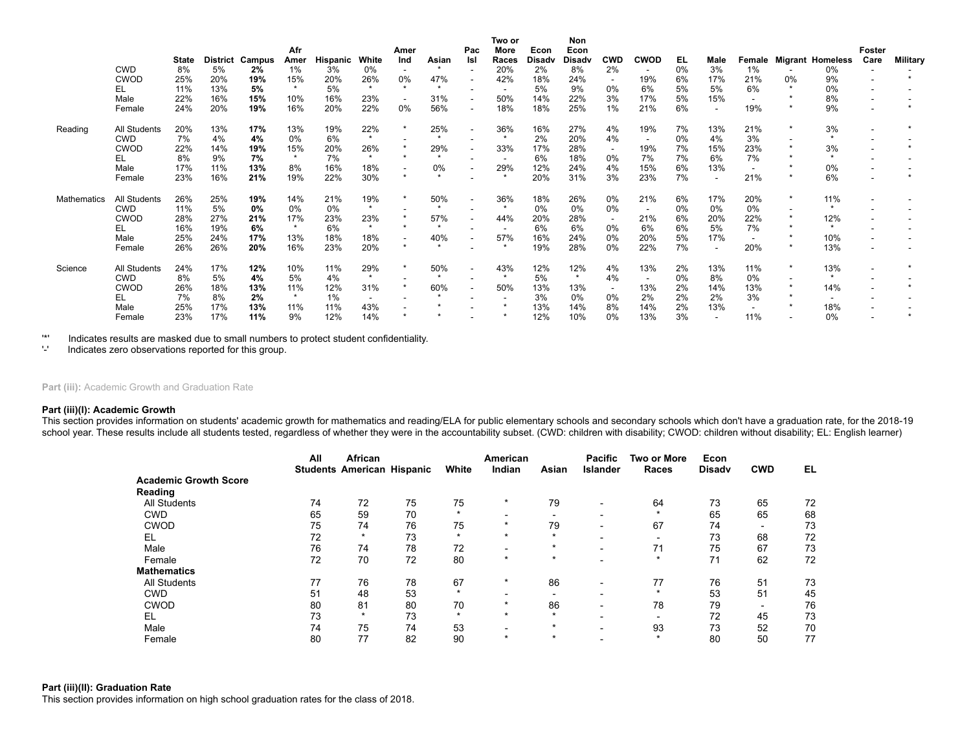|                    |              |              |                 |        | Afr     |          |           | Amer                     |       | Pac                      | Two or<br>More | Econ          | Non<br>Econ   |                          |                          |    |      |                          |    |                         | <b>Foster</b>            |                 |
|--------------------|--------------|--------------|-----------------|--------|---------|----------|-----------|--------------------------|-------|--------------------------|----------------|---------------|---------------|--------------------------|--------------------------|----|------|--------------------------|----|-------------------------|--------------------------|-----------------|
|                    |              | <b>State</b> | <b>District</b> | Campus | Amer    | Hispanic | White     | Ind                      | Asian | Isl                      | Races          | <b>Disadv</b> | <b>Disady</b> | <b>CWD</b>               | <b>CWOD</b>              | EL | Male | Female                   |    | <b>Migrant Homeless</b> | Care                     | <b>Military</b> |
|                    | <b>CWD</b>   | 8%           | 5%              | 2%     | 1%      | 3%       | 0%        | $\overline{\phantom{a}}$ |       | $\overline{\phantom{a}}$ | 20%            | 2%            | 8%            | 2%                       | $\overline{\phantom{a}}$ | 0% | 3%   | 1%                       |    | 0%                      |                          |                 |
|                    | <b>CWOD</b>  | 25%          | 20%             | 19%    | 15%     | 20%      | 26%       | 0%                       | 47%   |                          | 42%            | 18%           | 24%           |                          | 19%                      | 6% | 17%  | 21%                      | 0% | 9%                      |                          |                 |
|                    | EL           | 11%          | 13%             | 5%     | $\star$ | 5%       | $\star$   | $\star$                  |       |                          |                | 5%            | 9%            | 0%                       | 6%                       | 5% | 5%   | 6%                       |    | 0%                      | $\overline{\phantom{a}}$ |                 |
|                    | Male         | 22%          | 16%             | 15%    | 10%     | 16%      | 23%       | $\sim$                   | 31%   | $\overline{\phantom{a}}$ | 50%            | 14%           | 22%           | 3%                       | 17%                      | 5% | 15%  | $\overline{\phantom{a}}$ |    | 8%                      |                          |                 |
|                    | Female       | 24%          | 20%             | 19%    | 16%     | 20%      | 22%       | 0%                       | 56%   | $\overline{\phantom{a}}$ | 18%            | 18%           | 25%           | $1\%$                    | 21%                      | 6% |      | 19%                      |    | 9%                      |                          |                 |
| Reading            | All Students | 20%          | 13%             | 17%    | 13%     | 19%      | 22%       | $\star$                  | 25%   | $\overline{\phantom{a}}$ | 36%            | 16%           | 27%           | 4%                       | 19%                      | 7% | 13%  | 21%                      |    | 3%                      |                          |                 |
|                    | <b>CWD</b>   | 7%           | 4%              | 4%     | 0%      | 6%       | $\star$   |                          |       |                          | $\star$        | 2%            | 20%           | 4%                       | $\overline{\phantom{a}}$ | 0% | 4%   | 3%                       |    | $\star$                 |                          |                 |
|                    | <b>CWOD</b>  | 22%          | 14%             | 19%    | 15%     | 20%      | 26%       |                          | 29%   | $\overline{\phantom{a}}$ | 33%            | 17%           | 28%           | $\sim$                   | 19%                      | 7% | 15%  | 23%                      |    | 3%                      |                          |                 |
|                    | EL           | 8%           | 9%              | 7%     | $\star$ | 7%       |           | $\star$                  |       |                          |                | 6%            | 18%           | 0%                       | 7%                       | 7% | 6%   | 7%                       |    | $\star$                 |                          |                 |
|                    | Male         | 17%          | 11%             | 13%    | 8%      | 16%      | 18%       | $\overline{\phantom{a}}$ | 0%    | $\overline{\phantom{a}}$ | 29%            | 12%           | 24%           | 4%                       | 15%                      | 6% | 13%  | $\overline{\phantom{a}}$ |    | 0%                      |                          |                 |
|                    | Female       | 23%          | 16%             | 21%    | 19%     | 22%      | 30%       | $\star$                  |       |                          | $\star$        | 20%           | 31%           | 3%                       | 23%                      | 7% |      | 21%                      |    | 6%                      |                          |                 |
| <b>Mathematics</b> | All Students | 26%          | 25%             | 19%    | 14%     | 21%      | 19%       | $\star$                  | 50%   | $\overline{\phantom{a}}$ | 36%            | 18%           | 26%           | 0%                       | 21%                      | 6% | 17%  | 20%                      |    | 11%                     |                          |                 |
|                    | <b>CWD</b>   | 11%          | 5%              | 0%     | 0%      | 0%       | $\star$   |                          |       |                          | $\star$        | 0%            | 0%            | 0%                       |                          | 0% | 0%   | 0%                       |    | $\star$                 |                          |                 |
|                    | <b>CWOD</b>  | 28%          | 27%             | 21%    | 17%     | 23%      | 23%       | $\star$                  | 57%   | $\overline{\phantom{a}}$ | 44%            | 20%           | 28%           | $\sim$                   | 21%                      | 6% | 20%  | 22%                      |    | 12%                     |                          |                 |
|                    | EL           | 16%          | 19%             | 6%     | $\star$ | 6%       | $\bullet$ | $\star$                  |       |                          |                | 6%            | 6%            | 0%                       | 6%                       | 6% | 5%   | 7%                       |    | $\star$                 |                          |                 |
|                    | Male         | 25%          | 24%             | 17%    | 13%     | 18%      | 18%       | $\sim$                   | 40%   | $\overline{\phantom{a}}$ | 57%            | 16%           | 24%           | 0%                       | 20%                      | 5% | 17%  | $\overline{\phantom{a}}$ |    | 10%                     | $\overline{\phantom{a}}$ |                 |
|                    | Female       | 26%          | 26%             | 20%    | 16%     | 23%      | 20%       | $\star$                  |       |                          |                | 19%           | 28%           | 0%                       | 22%                      | 7% |      | 20%                      |    | 13%                     |                          |                 |
| Science            | All Students | 24%          | 17%             | 12%    | 10%     | 11%      | 29%       | $\star$                  | 50%   | $\sim$                   | 43%            | 12%           | 12%           | 4%                       | 13%                      | 2% | 13%  | 11%                      |    | 13%                     |                          |                 |
|                    | <b>CWD</b>   | 8%           | 5%              | 4%     | 5%      | 4%       | $\star$   |                          |       |                          | $\star$        | 5%            | $\star$       | 4%                       |                          | 0% | 8%   | 0%                       |    | $\star$                 |                          |                 |
|                    | <b>CWOD</b>  | 26%          | 18%             | 13%    | 11%     | 12%      | 31%       | $\star$                  | 60%   | $\overline{\phantom{a}}$ | 50%            | 13%           | 13%           | $\overline{\phantom{a}}$ | 13%                      | 2% | 14%  | 13%                      |    | 14%                     |                          |                 |
|                    | EL           | 7%           | 8%              | 2%     | $\star$ | 1%       |           |                          |       |                          |                | 3%            | 0%            | 0%                       | 2%                       | 2% | 2%   | 3%                       |    |                         |                          |                 |
|                    | Male         | 25%          | 17%             | 13%    | 11%     | 11%      | 43%       |                          |       |                          |                | 13%           | 14%           | 8%                       | 14%                      | 2% | 13%  | $\overline{\phantom{a}}$ |    | 18%                     |                          |                 |
|                    | Female       | 23%          | 17%             | 11%    | 9%      | 12%      | 14%       |                          |       |                          |                | 12%           | 10%           | 0%                       | 13%                      | 3% |      | 11%                      |    | 0%                      |                          |                 |

'\*' Indicates results are masked due to small numbers to protect student confidentiality.

'-' Indicates zero observations reported for this group.

Part (iii): Academic Growth and Graduation Rate

## **Part (iii)(I): Academic Growth**

This section provides information on students' academic growth for mathematics and reading/ELA for public elementary schools and secondary schools which don't have a graduation rate, for the 2018-19 school year. These results include all students tested, regardless of whether they were in the accountability subset. (CWD: children with disability; CWOD: children without disability; EL: English learner)

|                              | All | African<br><b>Students American Hispanic</b> |    | White   | American<br>Indian       | Asian   | <b>Pacific</b><br><b>Islander</b> | <b>Two or More</b><br>Races | Econ<br><b>Disady</b> | <b>CWD</b>               | EL |
|------------------------------|-----|----------------------------------------------|----|---------|--------------------------|---------|-----------------------------------|-----------------------------|-----------------------|--------------------------|----|
| <b>Academic Growth Score</b> |     |                                              |    |         |                          |         |                                   |                             |                       |                          |    |
| Reading                      |     |                                              |    |         |                          |         |                                   |                             |                       |                          |    |
| <b>All Students</b>          | 74  | 72                                           | 75 | 75      | $\star$                  | 79      |                                   | 64                          | 73                    | 65                       | 72 |
| <b>CWD</b>                   | 65  | 59                                           | 70 | $\star$ | $\overline{\phantom{0}}$ |         |                                   | $\star$                     | 65                    | 65                       | 68 |
| <b>CWOD</b>                  | 75  | 74                                           | 76 | 75      | $\star$                  | 79      | $\overline{\phantom{0}}$          | 67                          | 74                    | $\overline{\phantom{0}}$ | 73 |
| EL                           | 72  | $\star$                                      | 73 | $\star$ | $\star$                  | $\star$ | -                                 | $\overline{\phantom{0}}$    | 73                    | 68                       | 72 |
| Male                         | 76  | 74                                           | 78 | 72      |                          | $\star$ |                                   | 71                          | 75                    | 67                       | 73 |
| Female                       | 72  | 70                                           | 72 | 80      | $\star$                  | $\star$ | $\overline{\phantom{0}}$          | $\star$                     | 71                    | 62                       | 72 |
| <b>Mathematics</b>           |     |                                              |    |         |                          |         |                                   |                             |                       |                          |    |
| <b>All Students</b>          | 77  | 76                                           | 78 | 67      | $\star$                  | 86      |                                   | 77                          | 76                    | 51                       | 73 |
| <b>CWD</b>                   | 51  | 48                                           | 53 | $\star$ | $\overline{\phantom{0}}$ |         | -                                 | $\star$                     | 53                    | 51                       | 45 |
| <b>CWOD</b>                  | 80  | 81                                           | 80 | 70      | $\star$                  | 86      |                                   | 78                          | 79                    | $\overline{\phantom{0}}$ | 76 |
| EL                           | 73  | $\star$                                      | 73 | $\star$ | $\star$                  | $\star$ |                                   |                             | 72                    | 45                       | 73 |
| Male                         | 74  | 75                                           | 74 | 53      | $\overline{\phantom{0}}$ | $\star$ |                                   | 93                          | 73                    | 52                       | 70 |
| Female                       | 80  | 77                                           | 82 | 90      | $\star$                  | $\star$ |                                   | $\star$                     | 80                    | 50                       | 77 |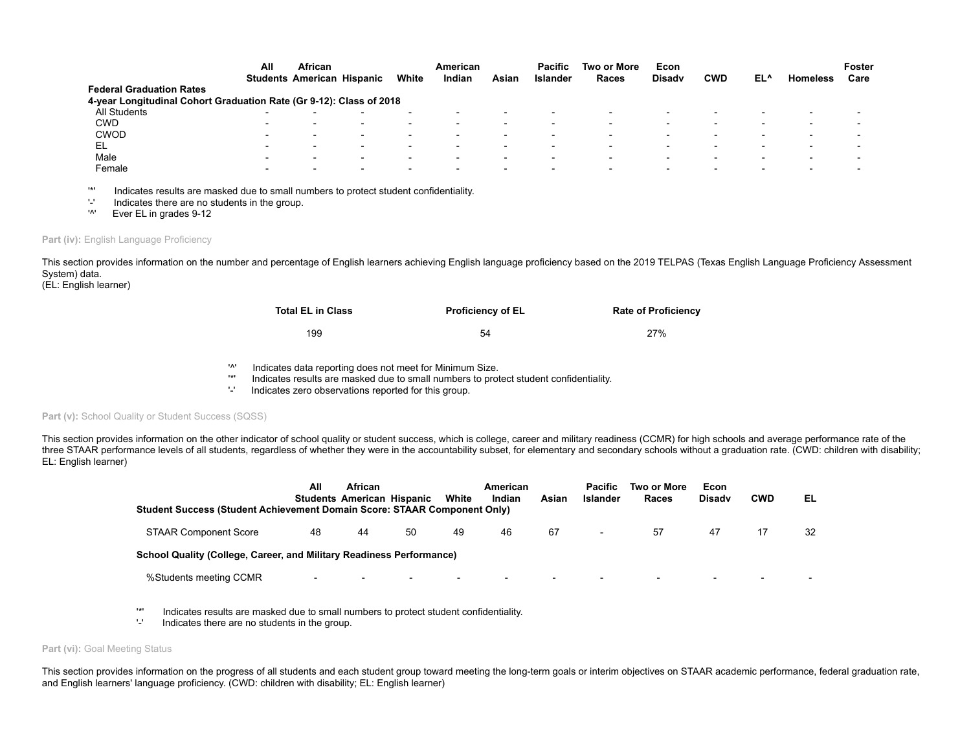|                                                                     | All                      | <b>African</b>                    |                          |       | American                 |                          | <b>Pacific</b>           | Two or More | Econ                     |            |     |                 | Foster                   |
|---------------------------------------------------------------------|--------------------------|-----------------------------------|--------------------------|-------|--------------------------|--------------------------|--------------------------|-------------|--------------------------|------------|-----|-----------------|--------------------------|
|                                                                     |                          | <b>Students American Hispanic</b> |                          | White | Indian                   | Asian                    | <b>Islander</b>          | Races       | <b>Disady</b>            | <b>CWD</b> | EL^ | <b>Homeless</b> | Care                     |
| <b>Federal Graduation Rates</b>                                     |                          |                                   |                          |       |                          |                          |                          |             |                          |            |     |                 |                          |
| 4-year Longitudinal Cohort Graduation Rate (Gr 9-12): Class of 2018 |                          |                                   |                          |       |                          |                          |                          |             |                          |            |     |                 |                          |
| All Students                                                        | $\overline{\phantom{a}}$ |                                   | $\overline{\phantom{a}}$ |       | $\overline{\phantom{0}}$ |                          | $\overline{\phantom{0}}$ |             |                          |            |     |                 | $\overline{\phantom{a}}$ |
| <b>CWD</b>                                                          | $\overline{\phantom{a}}$ |                                   | $\overline{\phantom{a}}$ |       | $\overline{\phantom{0}}$ |                          | $\overline{\phantom{0}}$ |             |                          |            |     |                 |                          |
| <b>CWOD</b>                                                         | $\overline{\phantom{a}}$ |                                   | $\overline{\phantom{a}}$ |       | $\overline{\phantom{0}}$ | -                        | $\overline{\phantom{0}}$ |             | -                        |            |     |                 | $\overline{\phantom{0}}$ |
| EL                                                                  | $\overline{\phantom{0}}$ |                                   | $\overline{\phantom{0}}$ |       | -                        |                          | $\overline{\phantom{0}}$ |             |                          |            |     |                 |                          |
| Male                                                                | $\overline{\phantom{a}}$ | $\overline{\phantom{a}}$          | $\overline{\phantom{0}}$ |       | $\overline{\phantom{0}}$ | $\overline{\phantom{0}}$ | $\overline{\phantom{0}}$ |             | $\overline{\phantom{0}}$ |            |     | -               | $\overline{\phantom{0}}$ |
| Female                                                              | $\overline{\phantom{0}}$ |                                   | $\overline{\phantom{0}}$ |       | $\overline{\phantom{0}}$ |                          | $\overline{\phantom{0}}$ |             |                          |            |     |                 |                          |
|                                                                     |                          |                                   |                          |       |                          |                          |                          |             |                          |            |     |                 |                          |

'\*' Indicates results are masked due to small numbers to protect student confidentiality.

 $'$ -' Indicates there are no students in the group.<br> $'$ <sup>1</sup> Ever El in grades 9-12

Ever EL in grades 9-12

#### Part (iv): English Language Proficiency

This section provides information on the number and percentage of English learners achieving English language proficiency based on the 2019 TELPAS (Texas English Language Proficiency Assessment System) data.

(EL: English learner)

| <b>Total EL in Class</b> | <b>Proficiency of EL</b> | <b>Rate of Proficiency</b> |
|--------------------------|--------------------------|----------------------------|
| 199                      | 54                       | 27%                        |

- '<sup>^'</sup> Indicates data reporting does not meet for Minimum Size.<br>
Indicates results are masked due to small numbers to prot
- Indicates results are masked due to small numbers to protect student confidentiality.
- '-' Indicates zero observations reported for this group.

# Part (v): School Quality or Student Success (SQSS)

This section provides information on the other indicator of school quality or student success, which is college, career and military readiness (CCMR) for high schools and average performance rate of the three STAAR performance levels of all students, regardless of whether they were in the accountability subset, for elementary and secondary schools without a graduation rate. (CWD: children with disability; EL: English learner)

| Student Success (Student Achievement Domain Score: STAAR Component Only) | All                      | African<br><b>Students American Hispanic</b> |                          | White                    | American<br>Indian       | Asian | <b>Pacific</b><br><b>Islander</b> | Two or More<br>Races     | Econ<br><b>Disady</b>    | <b>CWD</b>               | EL |
|--------------------------------------------------------------------------|--------------------------|----------------------------------------------|--------------------------|--------------------------|--------------------------|-------|-----------------------------------|--------------------------|--------------------------|--------------------------|----|
| <b>STAAR Component Score</b>                                             | 48                       | 44                                           | 50                       | 49                       | 46                       | 67    | $\overline{\phantom{0}}$          | 57                       | 47                       | 17                       | 32 |
| School Quality (College, Career, and Military Readiness Performance)     |                          |                                              |                          |                          |                          |       |                                   |                          |                          |                          |    |
| %Students meeting CCMR                                                   | $\overline{\phantom{0}}$ | $\overline{\phantom{0}}$                     | $\overline{\phantom{a}}$ | $\overline{\phantom{0}}$ | $\overline{\phantom{a}}$ |       |                                   | $\overline{\phantom{a}}$ | $\overline{\phantom{0}}$ | $\overline{\phantom{0}}$ |    |

'\*' Indicates results are masked due to small numbers to protect student confidentiality.

Indicates there are no students in the group.

#### Part (vi): Goal Meeting Status

This section provides information on the progress of all students and each student group toward meeting the long-term goals or interim objectives on STAAR academic performance, federal graduation rate, and English learners' language proficiency. (CWD: children with disability; EL: English learner)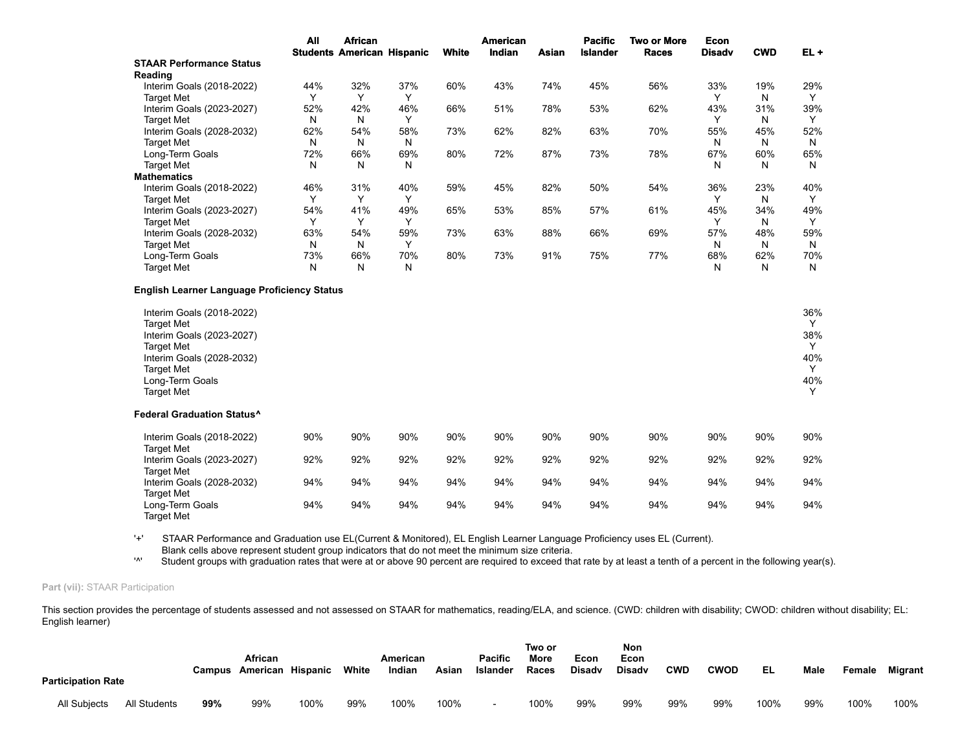|                                                                                                                                                                                                                                 | All | <b>African</b> | <b>Students American Hispanic</b> | White | <b>American</b><br>Indian | Asian | <b>Pacific</b><br><b>Islander</b> | <b>Two or More</b><br><b>Races</b> | <b>Econ</b><br><b>Disadv</b> | <b>CWD</b> | $EL +$                                       |
|---------------------------------------------------------------------------------------------------------------------------------------------------------------------------------------------------------------------------------|-----|----------------|-----------------------------------|-------|---------------------------|-------|-----------------------------------|------------------------------------|------------------------------|------------|----------------------------------------------|
| <b>STAAR Performance Status</b>                                                                                                                                                                                                 |     |                |                                   |       |                           |       |                                   |                                    |                              |            |                                              |
| Reading                                                                                                                                                                                                                         |     |                |                                   |       |                           |       |                                   |                                    |                              |            |                                              |
| Interim Goals (2018-2022)                                                                                                                                                                                                       | 44% | 32%            | 37%                               | 60%   | 43%                       | 74%   | 45%                               | 56%                                | 33%                          | 19%        | 29%                                          |
| <b>Target Met</b>                                                                                                                                                                                                               | Y   | Y              | Y                                 |       |                           |       |                                   |                                    | Y                            | N          | Y                                            |
| Interim Goals (2023-2027)                                                                                                                                                                                                       | 52% | 42%            | 46%                               | 66%   | 51%                       | 78%   | 53%                               | 62%                                | 43%                          | 31%        | 39%                                          |
| <b>Target Met</b>                                                                                                                                                                                                               | N   | N              | Y                                 |       |                           |       |                                   |                                    | Y                            | N          | Y                                            |
| Interim Goals (2028-2032)                                                                                                                                                                                                       | 62% | 54%            | 58%                               | 73%   | 62%                       | 82%   | 63%                               | 70%                                | 55%                          | 45%        | 52%                                          |
| <b>Target Met</b>                                                                                                                                                                                                               | N   | N              | N                                 |       |                           |       |                                   |                                    | N                            | N          | N                                            |
| Long-Term Goals                                                                                                                                                                                                                 | 72% | 66%            | 69%                               | 80%   | 72%                       | 87%   | 73%                               | 78%                                | 67%                          | 60%        | 65%                                          |
| <b>Target Met</b>                                                                                                                                                                                                               | N   | N              | N                                 |       |                           |       |                                   |                                    | N                            | Ν          | N                                            |
| <b>Mathematics</b>                                                                                                                                                                                                              |     |                |                                   |       |                           |       |                                   |                                    |                              |            |                                              |
| Interim Goals (2018-2022)                                                                                                                                                                                                       | 46% | 31%            | 40%                               | 59%   | 45%                       | 82%   | 50%                               | 54%                                | 36%                          | 23%        | 40%                                          |
| <b>Target Met</b>                                                                                                                                                                                                               | Y   | Y              | Y                                 |       |                           |       |                                   |                                    | Y                            | N          | Y                                            |
| Interim Goals (2023-2027)                                                                                                                                                                                                       | 54% | 41%            | 49%                               | 65%   | 53%                       | 85%   | 57%                               | 61%                                | 45%                          | 34%        | 49%                                          |
| <b>Target Met</b>                                                                                                                                                                                                               | Y   | Y              | Y                                 |       |                           |       |                                   |                                    | Y                            | N          | Y                                            |
| Interim Goals (2028-2032)                                                                                                                                                                                                       | 63% | 54%            | 59%                               | 73%   | 63%                       | 88%   | 66%                               | 69%                                | 57%                          | 48%        | 59%                                          |
| <b>Target Met</b>                                                                                                                                                                                                               | N   | N              | Y                                 |       |                           |       |                                   |                                    | N                            | N          | N                                            |
| Long-Term Goals                                                                                                                                                                                                                 | 73% | 66%            | 70%                               | 80%   | 73%                       | 91%   | 75%                               | 77%                                | 68%                          | 62%        | 70%                                          |
| <b>Target Met</b>                                                                                                                                                                                                               | N   | Ν              | N                                 |       |                           |       |                                   |                                    | N                            | N          | N                                            |
| Interim Goals (2018-2022)<br><b>Target Met</b><br>Interim Goals (2023-2027)<br><b>Target Met</b><br>Interim Goals (2028-2032)<br><b>Target Met</b><br>Long-Term Goals<br><b>Target Met</b><br><b>Federal Graduation Status^</b> |     |                |                                   |       |                           |       |                                   |                                    |                              |            | 36%<br>Y<br>38%<br>Y<br>40%<br>Y<br>40%<br>Y |
| Interim Goals (2018-2022)                                                                                                                                                                                                       | 90% | 90%            | 90%                               | 90%   | 90%                       | 90%   | 90%                               | 90%                                | 90%                          | 90%        | 90%                                          |
| <b>Target Met</b>                                                                                                                                                                                                               |     |                |                                   |       |                           |       |                                   |                                    |                              |            |                                              |
| Interim Goals (2023-2027)<br><b>Target Met</b>                                                                                                                                                                                  | 92% | 92%            | 92%                               | 92%   | 92%                       | 92%   | 92%                               | 92%                                | 92%                          | 92%        | 92%                                          |
| Interim Goals (2028-2032)<br><b>Target Met</b>                                                                                                                                                                                  | 94% | 94%            | 94%                               | 94%   | 94%                       | 94%   | 94%                               | 94%                                | 94%                          | 94%        | 94%                                          |
| Long-Term Goals<br><b>Target Met</b>                                                                                                                                                                                            | 94% | 94%            | 94%                               | 94%   | 94%                       | 94%   | 94%                               | 94%                                | 94%                          | 94%        | 94%                                          |

'+' STAAR Performance and Graduation use EL(Current & Monitored), EL English Learner Language Proficiency uses EL (Current). Blank cells above represent student group indicators that do not meet the minimum size criteria.

'<sup>\*</sup>' Student groups with graduation rates that were at or above 90 percent are required to exceed that rate by at least a tenth of a percent in the following year(s).

## **Part (vii):** STAAR Participation

This section provides the percentage of students assessed and not assessed on STAAR for mathematics, reading/ELA, and science. (CWD: children with disability; CWOD: children without disability; EL: English learner)

| <b>Participation Rate</b> |              |     | African<br>Campus American Hispanic |      | White | American<br>Indian | Asian | <b>Pacific</b><br>Islander | Two or<br>More<br>Races | Econ<br><b>Disady</b> | Non<br>Econ<br><b>Disadv</b> | <b>CWD</b> | <b>CWOD</b> | EL   | Male | Female | <b>Migrant</b> |
|---------------------------|--------------|-----|-------------------------------------|------|-------|--------------------|-------|----------------------------|-------------------------|-----------------------|------------------------------|------------|-------------|------|------|--------|----------------|
| All Subjects              | All Students | 99% | 99%                                 | 100% | 99%   | 100%               | 100%  | $\overline{\phantom{0}}$   | 100%                    | 99%                   | 99%                          | 99%        | 99%         | 100% | 99%  | 100%   | 100%           |